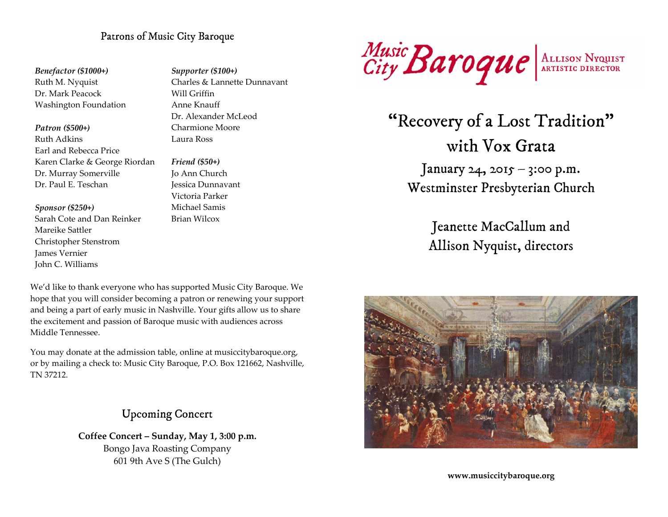# Patrons of Music City Baroque

Benefactor (\$1000+) Ruth M. Nyquist Dr. Mark Peacock Washington Foundation

Patron (\$500+)

Ruth Adkins Earl and Rebecca Price Karen Clarke & George Riordan Dr. Murray Somerville Dr. Paul E. Teschan

Sponsor (\$250+)

Sarah Cote and Dan Reinker Mareike Sattler Christopher Stenstrom James Vernier John C. Williams

Supporter (\$100+) Charles & Lannette Dunnavant Will Criffin Anne Knauff Dr. Alexander McLeod Charmione Moore Laura Ross

Friend (\$50+) Jo Ann Church Jessica Dunnavant Victoria Parker Michael Samis Brian Wilcox

We'd like to thank everyone who has supported Music City Baroque. We hope that you will consider becoming a patron or renewing your support and being a part of early music in Nashville. Your gifts allow us to share the excitement and passion of Baroque music with audiences across Middle Tennessee.

You may donate at the admission table, online at musiccitybaroque.org, or by mailing a check to: Music City Baroque, P.O. Box 121662, Nashville, TN 37212.

# Upcoming Concert

Coffee Concert – Sunday, May 1, 3:00 p.m. Bongo Java Roasting Company 601 9th Ave S (The Gulch)



"Recovery of a Lost Tradition" with Vox Grata January 24, 2015 – 3:00 p.m. Westminster Presbyterian Church

> Jeanette MacCallum and Allison Nyquist, directors



www.musiccitybaroque.org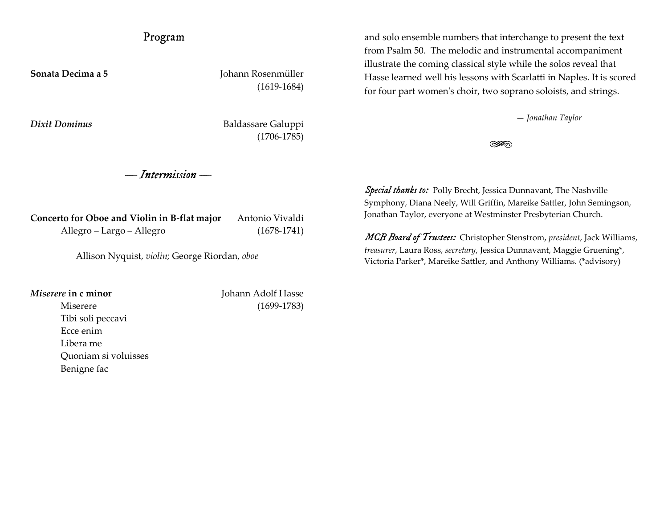# Program

Sonata Decima a 5 Johann Rosenmüller (1619-1684)

Dixit Dominus Baldassare Galuppi (1706-1785)

— Intermission —

Concerto for Oboe and Violin in B-flat major Antonio Vivaldi Allegro – Largo – Allegro (1678-1741)

Allison Nyquist, violin; George Riordan, oboe

 Tibi soli peccavi Ecce enim Libera me

Benigne fac

Quoniam si voluisses

Miserere in c minor **Johann Adolf Hasse** Miserere (1699-1783)

and solo ensemble numbers that interchange to present the text from Psalm 50. The melodic and instrumental accompaniment illustrate the coming classical style while the solos reveal that Hasse learned well his lessons with Scarlatti in Naples. It is scored for four part women's choir, two soprano soloists, and strings.

— Jonathan Taylor

820

Special thanks to: Polly Brecht, Jessica Dunnavant, The Nashville Symphony, Diana Neely, Will Griffin, Mareike Sattler, John Semingson, Jonathan Taylor, everyone at Westminster Presbyterian Church.

MCB Board of Trustees: Christopher Stenstrom, president, Jack Williams, treasurer, Laura Ross, secretary, Jessica Dunnavant, Maggie Gruening\*, Victoria Parker\*, Mareike Sattler, and Anthony Williams. (\*advisory)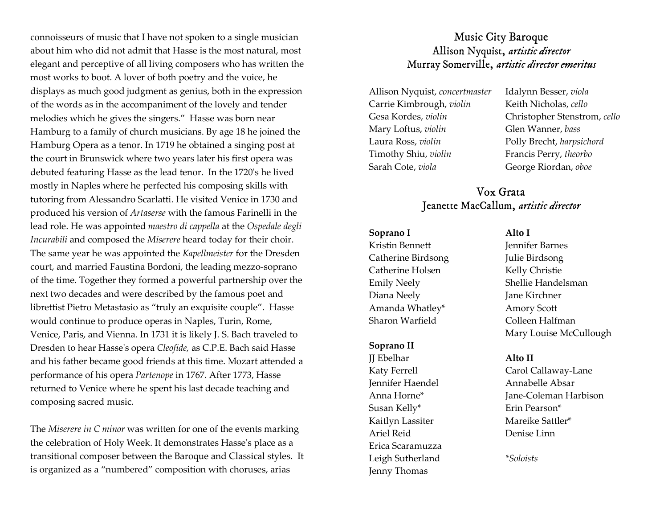connoisseurs of music that I have not spoken to a single musician about him who did not admit that Hasse is the most natural, most elegant and perceptive of all living composers who has written the most works to boot. A lover of both poetry and the voice, he displays as much good judgment as genius, both in the expression of the words as in the accompaniment of the lovely and tender melodies which he gives the singers." Hasse was born near Hamburg to a family of church musicians. By age 18 he joined the Hamburg Opera as a tenor. In 1719 he obtained a singing post at the court in Brunswick where two years later his first opera was debuted featuring Hasse as the lead tenor. In the 1720's he lived mostly in Naples where he perfected his composing skills with tutoring from Alessandro Scarlatti. He visited Venice in 1730 and produced his version of Artaserse with the famous Farinelli in the lead role. He was appointed maestro di cappella at the Ospedale degli Incurabili and composed the Miserere heard today for their choir. The same year he was appointed the Kapellmeister for the Dresden court, and married Faustina Bordoni, the leading mezzo-soprano of the time. Together they formed a powerful partnership over the next two decades and were described by the famous poet and librettist Pietro Metastasio as "truly an exquisite couple". Hasse would continue to produce operas in Naples, Turin, Rome, Venice, Paris, and Vienna. In 1731 it is likely J. S. Bach traveled to Dresden to hear Hasse's opera Cleofide, as C.P.E. Bach said Hasse and his father became good friends at this time. Mozart attended a performance of his opera Partenope in 1767. After 1773, Hasse returned to Venice where he spent his last decade teaching and composing sacred music.

The Miserere in C minor was written for one of the events marking the celebration of Holy Week. It demonstrates Hasse's place as a transitional composer between the Baroque and Classical styles. It is organized as a "numbered" composition with choruses, arias

# Music City Baroque Allison Nyquist, artistic director Murray Somerville, artistic director emeritus

Allison Nyquist, concertmaster Carrie Kimbrough, violin Gesa Kordes, violin Mary Loftus, violin Laura Ross, violin Timothy Shiu, violin Sarah Cote, viola

Idalynn Besser, viola Keith Nicholas, cello Christopher Stenstrom, cello Glen Wanner, bass Polly Brecht, harpsichord Francis Perry, theorbo George Riordan, oboe

# Vox Grata Jeanette MacCallum, artistic director

### Soprano I

Kristin Bennett Catherine Birdsong Catherine Holsen Emily Neely Diana Neely Amanda Whatley\* Sharon Warfield

### Soprano II

JJ Ebelhar Katy Ferrell Jennifer Haendel Anna Horne\* Susan Kelly\* Kaitlyn Lassiter Ariel Reid Erica Scaramuzza Leigh Sutherland Jenny Thomas

Alto I Jennifer Barnes Julie Birdsong Kelly Christie Shellie Handelsman Jane Kirchner Amory Scott Colleen Halfman Mary Louise McCullough

## Alto II

Carol Callaway-Lane Annabelle Absar Jane-Coleman Harbison Erin Pearson\* Mareike Sattler\* Denise Linn

\*Soloists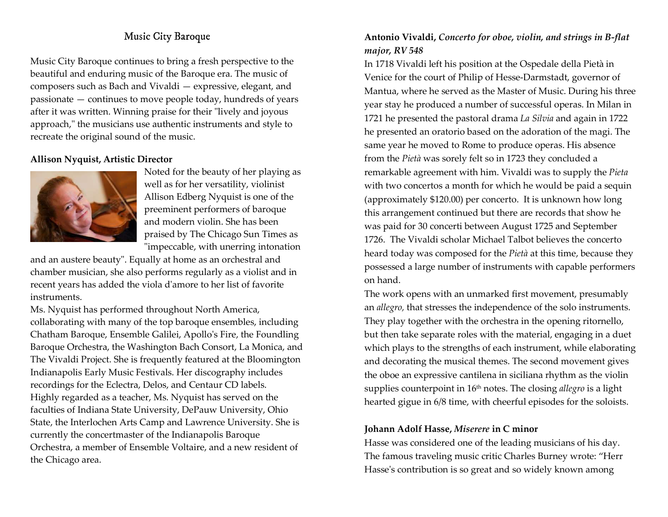# Music City Baroque

Music City Baroque continues to bring a fresh perspective to the beautiful and enduring music of the Baroque era. The music of composers such as Bach and Vivaldi — expressive, elegant, and passionate — continues to move people today, hundreds of years after it was written. Winning praise for their "lively and joyous approach," the musicians use authentic instruments and style to recreate the original sound of the music.

## Allison Nyquist, Artistic Director



Noted for the beauty of her playing as well as for her versatility, violinist Allison Edberg Nyquist is one of the preeminent performers of baroque and modern violin. She has been praised by The Chicago Sun Times as "impeccable, with unerring intonation

and an austere beauty". Equally at home as an orchestral and chamber musician, she also performs regularly as a violist and in recent years has added the viola d'amore to her list of favorite instruments.

Ms. Nyquist has performed throughout North America, collaborating with many of the top baroque ensembles, including Chatham Baroque, Ensemble Galilei, Apollo's Fire, the Foundling Baroque Orchestra, the Washington Bach Consort, La Monica, and The Vivaldi Project. She is frequently featured at the Bloomington Indianapolis Early Music Festivals. Her discography includes recordings for the Eclectra, Delos, and Centaur CD labels. Highly regarded as a teacher, Ms. Nyquist has served on the faculties of Indiana State University, DePauw University, Ohio State, the Interlochen Arts Camp and Lawrence University. She is currently the concertmaster of the Indianapolis Baroque Orchestra, a member of Ensemble Voltaire, and a new resident of the Chicago area.

## Antonio Vivaldi, Concerto for oboe, violin, and strings in B-flat major, RV 548

In 1718 Vivaldi left his position at the Ospedale della Pietà in Venice for the court of Philip of Hesse-Darmstadt, governor of Mantua, where he served as the Master of Music. During his three year stay he produced a number of successful operas. In Milan in 1721 he presented the pastoral drama La Silvia and again in 1722 he presented an oratorio based on the adoration of the magi. The same year he moved to Rome to produce operas. His absence from the Pietà was sorely felt so in 1723 they concluded a remarkable agreement with him. Vivaldi was to supply the Pieta with two concertos a month for which he would be paid a sequin (approximately \$120.00) per concerto. It is unknown how long this arrangement continued but there are records that show he was paid for 30 concerti between August 1725 and September 1726. The Vivaldi scholar Michael Talbot believes the concerto heard today was composed for the Pietà at this time, because they possessed a large number of instruments with capable performers on hand.

The work opens with an unmarked first movement, presumably an allegro, that stresses the independence of the solo instruments. They play together with the orchestra in the opening ritornello, but then take separate roles with the material, engaging in a duet which plays to the strengths of each instrument, while elaborating and decorating the musical themes. The second movement gives the oboe an expressive cantilena in siciliana rhythm as the violin supplies counterpoint in 16<sup>th</sup> notes. The closing *allegro* is a light hearted gigue in 6/8 time, with cheerful episodes for the soloists.

## Johann Adolf Hasse, Miserere in C minor

Hasse was considered one of the leading musicians of his day. The famous traveling music critic Charles Burney wrote: "Herr Hasse's contribution is so great and so widely known among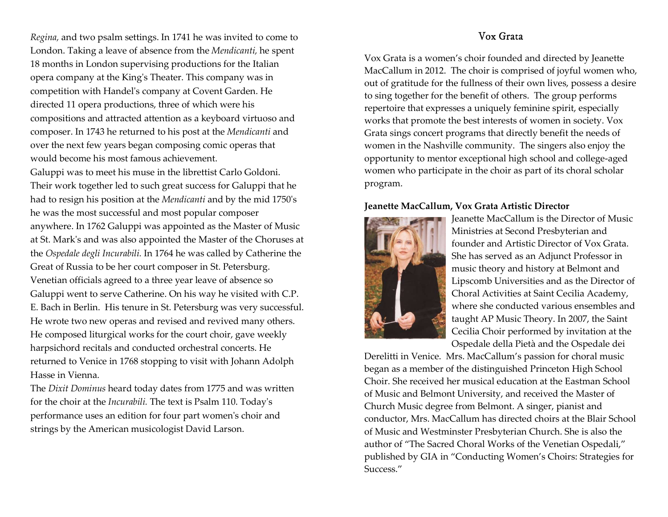Regina, and two psalm settings. In 1741 he was invited to come to London. Taking a leave of absence from the Mendicanti, he spent 18 months in London supervising productions for the Italian opera company at the King's Theater. This company was in competition with Handel's company at Covent Garden. He directed 11 opera productions, three of which were his compositions and attracted attention as a keyboard virtuoso and composer. In 1743 he returned to his post at the Mendicanti and over the next few years began composing comic operas that would become his most famous achievement.

Galuppi was to meet his muse in the librettist Carlo Goldoni. Their work together led to such great success for Galuppi that he had to resign his position at the Mendicanti and by the mid 1750's he was the most successful and most popular composer anywhere. In 1762 Galuppi was appointed as the Master of Music at St. Mark's and was also appointed the Master of the Choruses at the Ospedale degli Incurabili. In 1764 he was called by Catherine the Great of Russia to be her court composer in St. Petersburg. Venetian officials agreed to a three year leave of absence so Galuppi went to serve Catherine. On his way he visited with C.P. E. Bach in Berlin. His tenure in St. Petersburg was very successful. He wrote two new operas and revised and revived many others. He composed liturgical works for the court choir, gave weekly harpsichord recitals and conducted orchestral concerts. He returned to Venice in 1768 stopping to visit with Johann Adolph Hasse in Vienna.

The Dixit Dominus heard today dates from 1775 and was written for the choir at the Incurabili. The text is Psalm 110. Today's performance uses an edition for four part women's choir and strings by the American musicologist David Larson.

# Vox Grata

Vox Grata is a women's choir founded and directed by Jeanette MacCallum in 2012. The choir is comprised of joyful women who, out of gratitude for the fullness of their own lives, possess a desire to sing together for the benefit of others. The group performs repertoire that expresses a uniquely feminine spirit, especially works that promote the best interests of women in society. Vox Grata sings concert programs that directly benefit the needs of women in the Nashville community. The singers also enjoy the opportunity to mentor exceptional high school and college-aged women who participate in the choir as part of its choral scholar program.

## Jeanette MacCallum, Vox Grata Artistic Director



Jeanette MacCallum is the Director of Music Ministries at Second Presbyterian and founder and Artistic Director of Vox Grata. She has served as an Adjunct Professor in music theory and history at Belmont and Lipscomb Universities and as the Director of Choral Activities at Saint Cecilia Academy, where she conducted various ensembles and taught AP Music Theory. In 2007, the Saint Cecilia Choir performed by invitation at the Ospedale della Pietà and the Ospedale dei

Derelitti in Venice. Mrs. MacCallum's passion for choral music began as a member of the distinguished Princeton High School Choir. She received her musical education at the Eastman School of Music and Belmont University, and received the Master of Church Music degree from Belmont. A singer, pianist and conductor, Mrs. MacCallum has directed choirs at the Blair School of Music and Westminster Presbyterian Church. She is also the author of "The Sacred Choral Works of the Venetian Ospedali," published by GIA in "Conducting Women's Choirs: Strategies for Success."